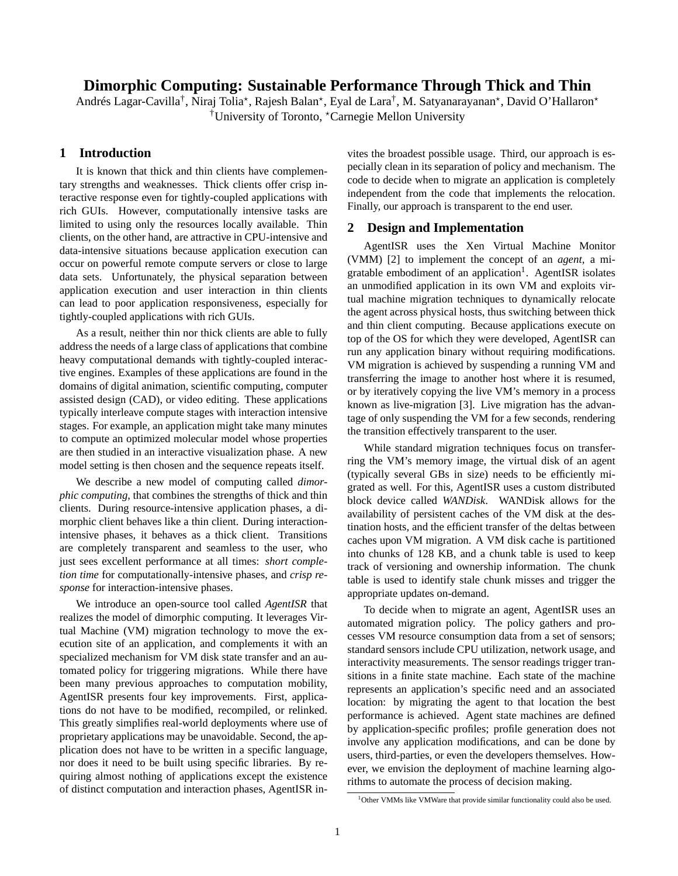# **Dimorphic Computing: Sustainable Performance Through Thick and Thin**

Andrés Lagar-Cavilla<sup>†</sup>, Niraj Tolia\*, Rajesh Balan\*, Eyal de Lara<sup>†</sup>, M. Satyanarayanan\*, David O'Hallaron\* <sup>†</sup>University of Toronto, <sup>\*</sup>Carnegie Mellon University

## **1 Introduction**

It is known that thick and thin clients have complementary strengths and weaknesses. Thick clients offer crisp interactive response even for tightly-coupled applications with rich GUIs. However, computationally intensive tasks are limited to using only the resources locally available. Thin clients, on the other hand, are attractive in CPU-intensive and data-intensive situations because application execution can occur on powerful remote compute servers or close to large data sets. Unfortunately, the physical separation between application execution and user interaction in thin clients can lead to poor application responsiveness, especially for tightly-coupled applications with rich GUIs.

As a result, neither thin nor thick clients are able to fully address the needs of a large class of applications that combine heavy computational demands with tightly-coupled interactive engines. Examples of these applications are found in the domains of digital animation, scientific computing, computer assisted design (CAD), or video editing. These applications typically interleave compute stages with interaction intensive stages. For example, an application might take many minutes to compute an optimized molecular model whose properties are then studied in an interactive visualization phase. A new model setting is then chosen and the sequence repeats itself.

We describe a new model of computing called *dimorphic computing*, that combines the strengths of thick and thin clients. During resource-intensive application phases, a dimorphic client behaves like a thin client. During interactionintensive phases, it behaves as a thick client. Transitions are completely transparent and seamless to the user, who just sees excellent performance at all times: *short completion time* for computationally-intensive phases, and *crisp response* for interaction-intensive phases.

We introduce an open-source tool called *AgentISR* that realizes the model of dimorphic computing. It leverages Virtual Machine (VM) migration technology to move the execution site of an application, and complements it with an specialized mechanism for VM disk state transfer and an automated policy for triggering migrations. While there have been many previous approaches to computation mobility, AgentISR presents four key improvements. First, applications do not have to be modified, recompiled, or relinked. This greatly simplifies real-world deployments where use of proprietary applications may be unavoidable. Second, the application does not have to be written in a specific language, nor does it need to be built using specific libraries. By requiring almost nothing of applications except the existence of distinct computation and interaction phases, AgentISR in-

vites the broadest possible usage. Third, our approach is especially clean in its separation of policy and mechanism. The code to decide when to migrate an application is completely independent from the code that implements the relocation. Finally, our approach is transparent to the end user.

### **2 Design and Implementation**

AgentISR uses the Xen Virtual Machine Monitor (VMM) [2] to implement the concept of an *agent*, a migratable embodiment of an application<sup>1</sup>. AgentISR isolates an unmodified application in its own VM and exploits virtual machine migration techniques to dynamically relocate the agent across physical hosts, thus switching between thick and thin client computing. Because applications execute on top of the OS for which they were developed, AgentISR can run any application binary without requiring modifications. VM migration is achieved by suspending a running VM and transferring the image to another host where it is resumed, or by iteratively copying the live VM's memory in a process known as live-migration [3]. Live migration has the advantage of only suspending the VM for a few seconds, rendering the transition effectively transparent to the user.

While standard migration techniques focus on transferring the VM's memory image, the virtual disk of an agent (typically several GBs in size) needs to be efficiently migrated as well. For this, AgentISR uses a custom distributed block device called *WANDisk*. WANDisk allows for the availability of persistent caches of the VM disk at the destination hosts, and the efficient transfer of the deltas between caches upon VM migration. A VM disk cache is partitioned into chunks of 128 KB, and a chunk table is used to keep track of versioning and ownership information. The chunk table is used to identify stale chunk misses and trigger the appropriate updates on-demand.

To decide when to migrate an agent, AgentISR uses an automated migration policy. The policy gathers and processes VM resource consumption data from a set of sensors; standard sensors include CPU utilization, network usage, and interactivity measurements. The sensor readings trigger transitions in a finite state machine. Each state of the machine represents an application's specific need and an associated location: by migrating the agent to that location the best performance is achieved. Agent state machines are defined by application-specific profiles; profile generation does not involve any application modifications, and can be done by users, third-parties, or even the developers themselves. However, we envision the deployment of machine learning algorithms to automate the process of decision making.

<sup>&</sup>lt;sup>1</sup>Other VMMs like VMWare that provide similar functionality could also be used.